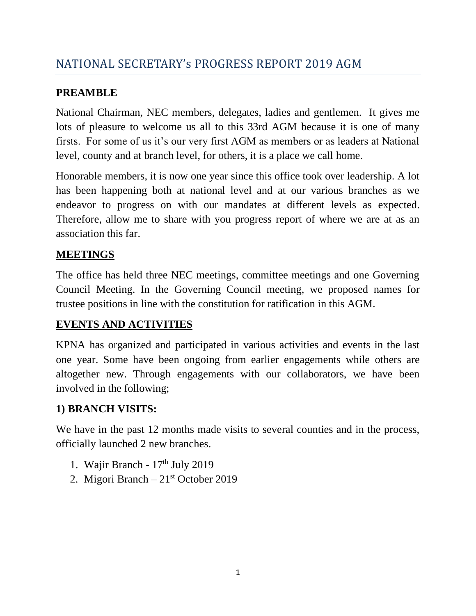## **PREAMBLE**

National Chairman, NEC members, delegates, ladies and gentlemen. It gives me lots of pleasure to welcome us all to this 33rd AGM because it is one of many firsts. For some of us it's our very first AGM as members or as leaders at National level, county and at branch level, for others, it is a place we call home.

Honorable members, it is now one year since this office took over leadership. A lot has been happening both at national level and at our various branches as we endeavor to progress on with our mandates at different levels as expected. Therefore, allow me to share with you progress report of where we are at as an association this far.

## **MEETINGS**

The office has held three NEC meetings, committee meetings and one Governing Council Meeting. In the Governing Council meeting, we proposed names for trustee positions in line with the constitution for ratification in this AGM.

## **EVENTS AND ACTIVITIES**

KPNA has organized and participated in various activities and events in the last one year. Some have been ongoing from earlier engagements while others are altogether new. Through engagements with our collaborators, we have been involved in the following;

## **1) BRANCH VISITS:**

We have in the past 12 months made visits to several counties and in the process, officially launched 2 new branches.

- 1. Wajir Branch  $17<sup>th</sup>$  July 2019
- 2. Migori Branch  $21<sup>st</sup>$  October 2019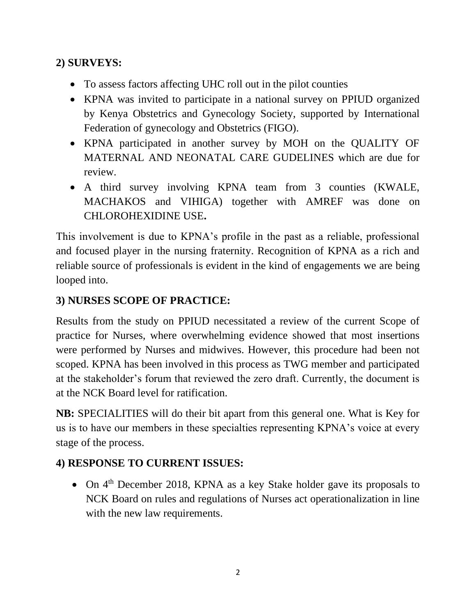## **2) SURVEYS:**

- To assess factors affecting UHC roll out in the pilot counties
- KPNA was invited to participate in a national survey on PPIUD organized by Kenya Obstetrics and Gynecology Society, supported by International Federation of gynecology and Obstetrics (FIGO).
- KPNA participated in another survey by MOH on the QUALITY OF MATERNAL AND NEONATAL CARE GUDELINES which are due for review.
- A third survey involving KPNA team from 3 counties (KWALE, MACHAKOS and VIHIGA) together with AMREF was done on CHLOROHEXIDINE USE**.**

This involvement is due to KPNA's profile in the past as a reliable, professional and focused player in the nursing fraternity. Recognition of KPNA as a rich and reliable source of professionals is evident in the kind of engagements we are being looped into.

## **3) NURSES SCOPE OF PRACTICE:**

Results from the study on PPIUD necessitated a review of the current Scope of practice for Nurses, where overwhelming evidence showed that most insertions were performed by Nurses and midwives. However, this procedure had been not scoped. KPNA has been involved in this process as TWG member and participated at the stakeholder's forum that reviewed the zero draft. Currently, the document is at the NCK Board level for ratification.

**NB:** SPECIALITIES will do their bit apart from this general one. What is Key for us is to have our members in these specialties representing KPNA's voice at every stage of the process.

## **4) RESPONSE TO CURRENT ISSUES:**

• On 4<sup>th</sup> December 2018, KPNA as a key Stake holder gave its proposals to NCK Board on rules and regulations of Nurses act operationalization in line with the new law requirements.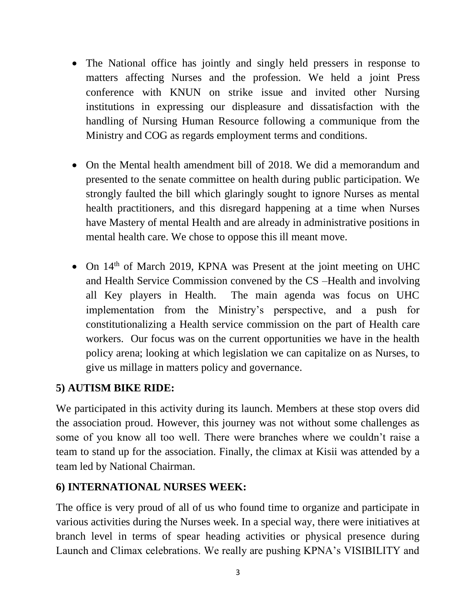- The National office has jointly and singly held pressers in response to matters affecting Nurses and the profession. We held a joint Press conference with KNUN on strike issue and invited other Nursing institutions in expressing our displeasure and dissatisfaction with the handling of Nursing Human Resource following a communique from the Ministry and COG as regards employment terms and conditions.
- On the Mental health amendment bill of 2018. We did a memorandum and presented to the senate committee on health during public participation. We strongly faulted the bill which glaringly sought to ignore Nurses as mental health practitioners, and this disregard happening at a time when Nurses have Mastery of mental Health and are already in administrative positions in mental health care. We chose to oppose this ill meant move.
- On 14<sup>th</sup> of March 2019, KPNA was Present at the joint meeting on UHC and Health Service Commission convened by the CS –Health and involving all Key players in Health. The main agenda was focus on UHC implementation from the Ministry's perspective, and a push for constitutionalizing a Health service commission on the part of Health care workers. Our focus was on the current opportunities we have in the health policy arena; looking at which legislation we can capitalize on as Nurses, to give us millage in matters policy and governance.

#### **5) AUTISM BIKE RIDE:**

We participated in this activity during its launch. Members at these stop overs did the association proud. However, this journey was not without some challenges as some of you know all too well. There were branches where we couldn't raise a team to stand up for the association. Finally, the climax at Kisii was attended by a team led by National Chairman.

#### **6) INTERNATIONAL NURSES WEEK:**

The office is very proud of all of us who found time to organize and participate in various activities during the Nurses week. In a special way, there were initiatives at branch level in terms of spear heading activities or physical presence during Launch and Climax celebrations. We really are pushing KPNA's VISIBILITY and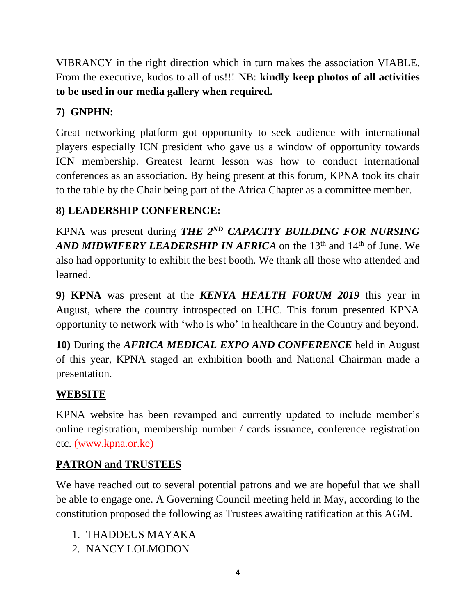VIBRANCY in the right direction which in turn makes the association VIABLE. From the executive, kudos to all of us!!! NB: **kindly keep photos of all activities to be used in our media gallery when required.**

# **7) GNPHN:**

Great networking platform got opportunity to seek audience with international players especially ICN president who gave us a window of opportunity towards ICN membership. Greatest learnt lesson was how to conduct international conferences as an association. By being present at this forum, KPNA took its chair to the table by the Chair being part of the Africa Chapter as a committee member.

# **8) LEADERSHIP CONFERENCE:**

KPNA was present during *THE 2ND CAPACITY BUILDING FOR NURSING AND MIDWIFERY LEADERSHIP IN AFRICA* on the 13<sup>th</sup> and 14<sup>th</sup> of June. We also had opportunity to exhibit the best booth. We thank all those who attended and learned.

**9) KPNA** was present at the *KENYA HEALTH FORUM 2019* this year in August, where the country introspected on UHC. This forum presented KPNA opportunity to network with 'who is who' in healthcare in the Country and beyond.

**10)** During the *AFRICA MEDICAL EXPO AND CONFERENCE* held in August of this year, KPNA staged an exhibition booth and National Chairman made a presentation.

# **WEBSITE**

KPNA website has been revamped and currently updated to include member's online registration, membership number / cards issuance, conference registration etc. (www.kpna.or.ke)

# **PATRON and TRUSTEES**

We have reached out to several potential patrons and we are hopeful that we shall be able to engage one. A Governing Council meeting held in May, according to the constitution proposed the following as Trustees awaiting ratification at this AGM.

- 1. THADDEUS MAYAKA
- 2. NANCY LOLMODON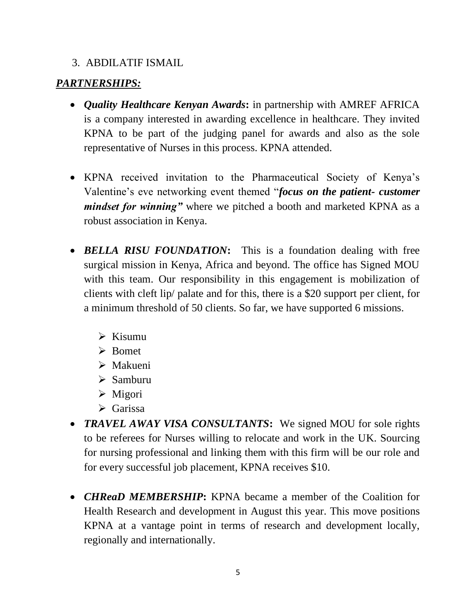#### 3. ABDILATIF ISMAIL

### *PARTNERSHIPS:*

- *Quality Healthcare Kenyan Awards***:** in partnership with AMREF AFRICA is a company interested in awarding excellence in healthcare. They invited KPNA to be part of the judging panel for awards and also as the sole representative of Nurses in this process. KPNA attended.
- KPNA received invitation to the Pharmaceutical Society of Kenya's Valentine's eve networking event themed "*focus on the patient- customer mindset for winning"* where we pitched a booth and marketed KPNA as a robust association in Kenya.
- **BELLA RISU FOUNDATION:** This is a foundation dealing with free surgical mission in Kenya, Africa and beyond. The office has Signed MOU with this team. Our responsibility in this engagement is mobilization of clients with cleft lip/ palate and for this, there is a \$20 support per client, for a minimum threshold of 50 clients. So far, we have supported 6 missions.
	- $\triangleright$  Kisumu
	- ➢ Bomet
	- ➢ Makueni
	- ➢ Samburu
	- ➢ Migori
	- ➢ Garissa
- *TRAVEL AWAY VISA CONSULTANTS***:** We signed MOU for sole rights to be referees for Nurses willing to relocate and work in the UK. Sourcing for nursing professional and linking them with this firm will be our role and for every successful job placement, KPNA receives \$10.
- *CHReaD MEMBERSHIP***:** KPNA became a member of the Coalition for Health Research and development in August this year. This move positions KPNA at a vantage point in terms of research and development locally, regionally and internationally.